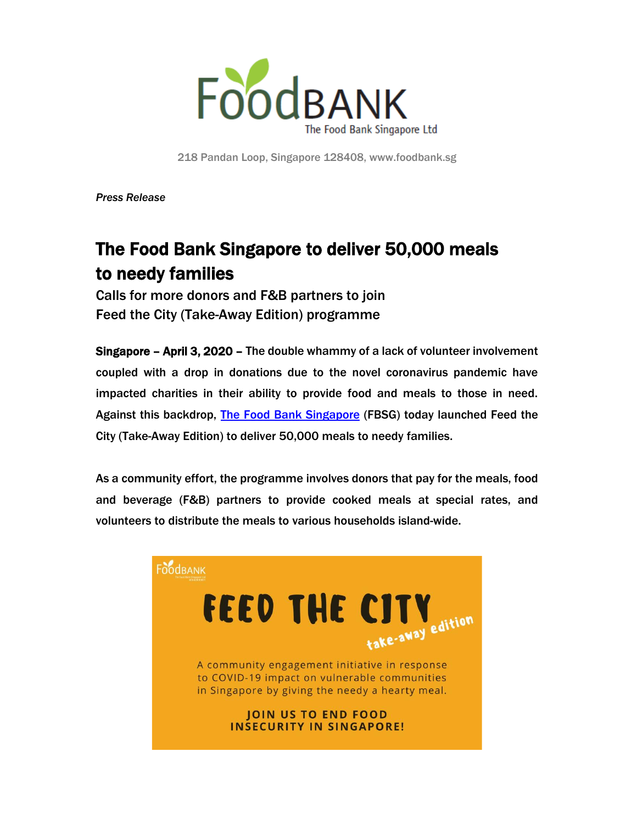

218 Pandan Loop, Singapore 128408, www.foodbank.sg

*Press Release*

# The Food Bank Singapore to deliver 50,000 meals to needy families

Calls for more donors and F&B partners to join Feed the City (Take-Away Edition) programme

Singapore – April 3, 2020 – The double whammy of a lack of volunteer involvement coupled with a drop in donations due to the novel coronavirus pandemic have impacted charities in their ability to provide food and meals to those in need. Against this backdrop, The [Food Bank Singapore](http://www.foodbank.sg/) (FBSG) today launched Feed the City (Take-Away Edition) to deliver 50,000 meals to needy families.

As a community effort, the programme involves donors that pay for the meals, food and beverage (F&B) partners to provide cooked meals at special rates, and volunteers to distribute the meals to various households island-wide.

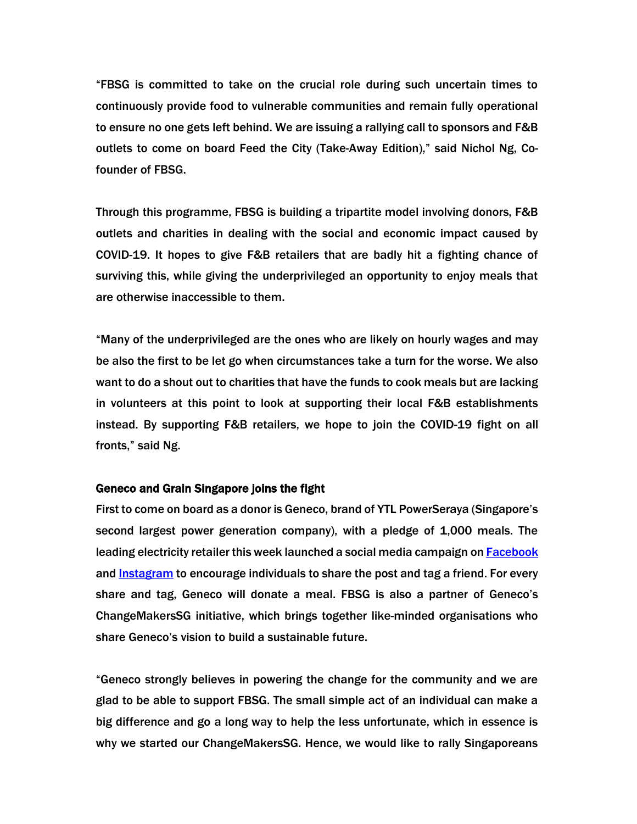"FBSG is committed to take on the crucial role during such uncertain times to continuously provide food to vulnerable communities and remain fully operational to ensure no one gets left behind. We are issuing a rallying call to sponsors and F&B outlets to come on board Feed the City (Take-Away Edition)," said Nichol Ng, Cofounder of FBSG.

Through this programme, FBSG is building a tripartite model involving donors, F&B outlets and charities in dealing with the social and economic impact caused by COVID-19. It hopes to give F&B retailers that are badly hit a fighting chance of surviving this, while giving the underprivileged an opportunity to enjoy meals that are otherwise inaccessible to them.

"Many of the underprivileged are the ones who are likely on hourly wages and may be also the first to be let go when circumstances take a turn for the worse. We also want to do a shout out to charities that have the funds to cook meals but are lacking in volunteers at this point to look at supporting their local F&B establishments instead. By supporting F&B retailers, we hope to join the COVID-19 fight on all fronts," said Ng.

#### Geneco and Grain Singapore joins the fight

First to come on board as a donor is Geneco, brand of YTL PowerSeraya (Singapore's second largest power generation company), with a pledge of 1,000 meals. The leading electricity retailer this week launched a social media campaign o[n Facebook](https://www.facebook.com/568006360226821/posts/1147937708900347/?sfnsn=mo) and [Instagram](https://www.instagram.com/p/B-Y4tlHDSaU/?igshid=128ep72gwj1su) to encourage individuals to share the post and tag a friend. For every share and tag, Geneco will donate a meal. FBSG is also a partner of Geneco's ChangeMakersSG initiative, which brings together like-minded organisations who share Geneco's vision to build a sustainable future.

"Geneco strongly believes in powering the change for the community and we are glad to be able to support FBSG. The small simple act of an individual can make a big difference and go a long way to help the less unfortunate, which in essence is why we started our ChangeMakersSG. Hence, we would like to rally Singaporeans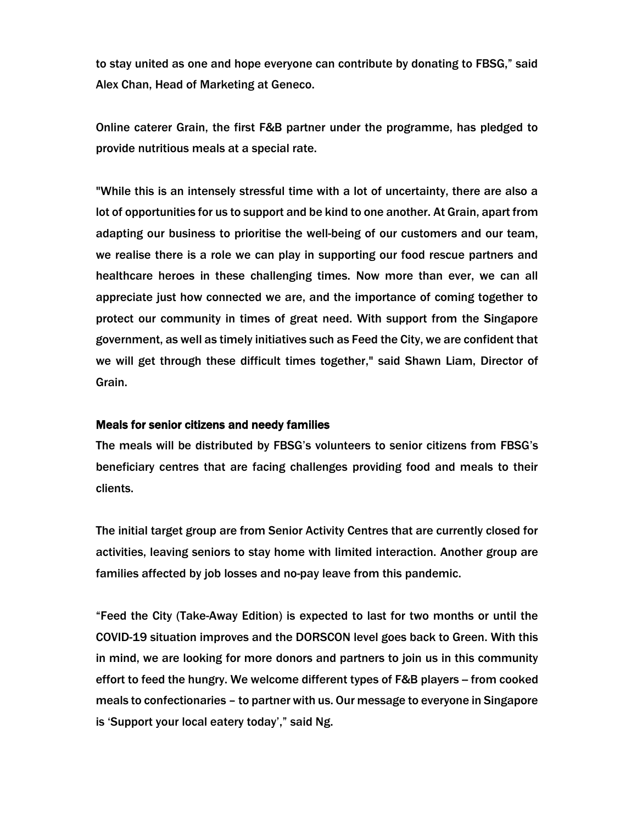to stay united as one and hope everyone can contribute by donating to FBSG," said Alex Chan, Head of Marketing at Geneco.

Online caterer Grain, the first F&B partner under the programme, has pledged to provide nutritious meals at a special rate.

"While this is an intensely stressful time with a lot of uncertainty, there are also a lot of opportunities for us to support and be kind to one another. At Grain, apart from adapting our business to prioritise the well-being of our customers and our team, we realise there is a role we can play in supporting our food rescue partners and healthcare heroes in these challenging times. Now more than ever, we can all appreciate just how connected we are, and the importance of coming together to protect our community in times of great need. With support from the Singapore government, as well as timely initiatives such as Feed the City, we are confident that we will get through these difficult times together," said Shawn Liam, Director of Grain.

## Meals for senior citizens and needy families

The meals will be distributed by FBSG's volunteers to senior citizens from FBSG's beneficiary centres that are facing challenges providing food and meals to their clients.

The initial target group are from Senior Activity Centres that are currently closed for activities, leaving seniors to stay home with limited interaction. Another group are families affected by job losses and no-pay leave from this pandemic.

"Feed the City (Take-Away Edition) is expected to last for two months or until the COVID-19 situation improves and the DORSCON level goes back to Green. With this in mind, we are looking for more donors and partners to join us in this community effort to feed the hungry. We welcome different types of F&B players – from cooked meals to confectionaries – to partner with us. Our message to everyone in Singapore is 'Support your local eatery today'," said Ng.